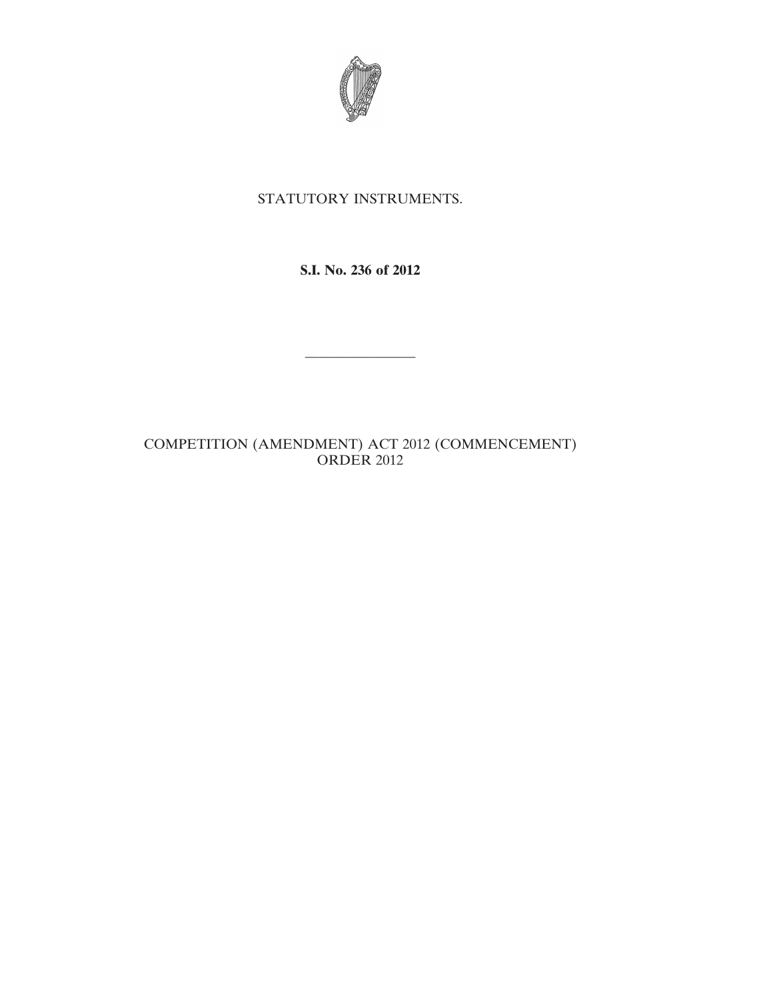

## STATUTORY INSTRUMENTS.

**S.I. No. 236 of 2012**

————————

COMPETITION (AMENDMENT) ACT 2012 (COMMENCEMENT) ORDER 2012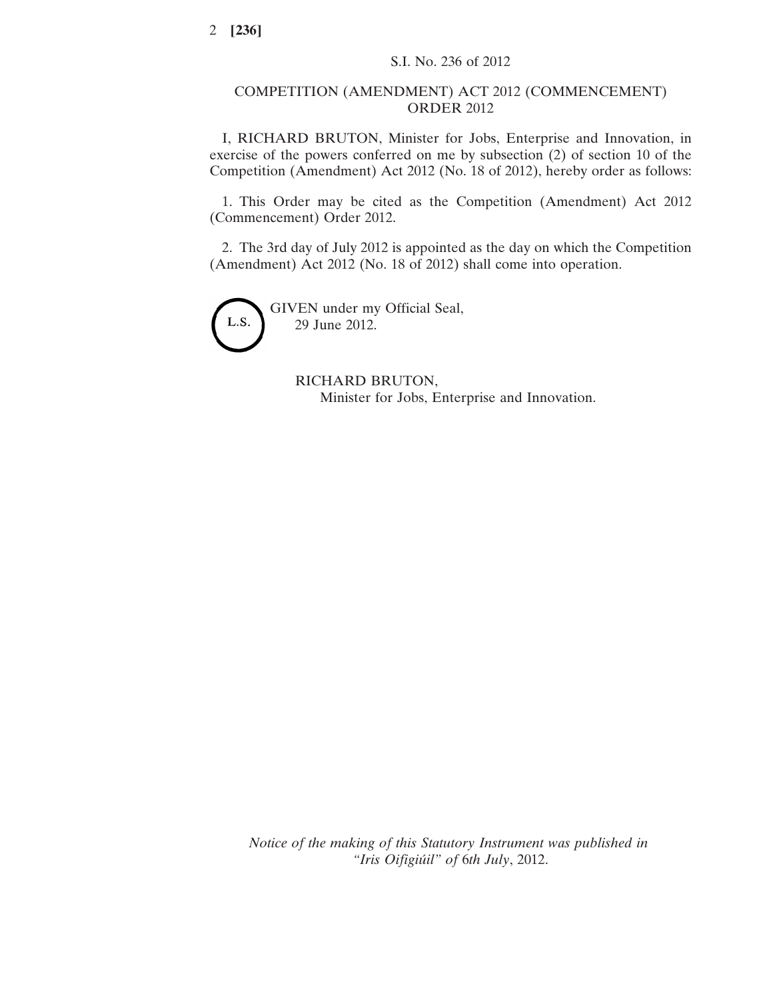## COMPETITION (AMENDMENT) ACT 2012 (COMMENCEMENT) ORDER 2012

I, RICHARD BRUTON, Minister for Jobs, Enterprise and Innovation, in exercise of the powers conferred on me by subsection (2) of section 10 of the Competition (Amendment) Act 2012 (No. 18 of 2012), hereby order as follows:

1. This Order may be cited as the Competition (Amendment) Act 2012 (Commencement) Order 2012.

2. The 3rd day of July 2012 is appointed as the day on which the Competition (Amendment) Act 2012 (No. 18 of 2012) shall come into operation.



RICHARD BRUTON, Minister for Jobs, Enterprise and Innovation.

*Notice of the making of this Statutory Instrument was published in "Iris Oifigiúil" of* 6*th July*, 2012.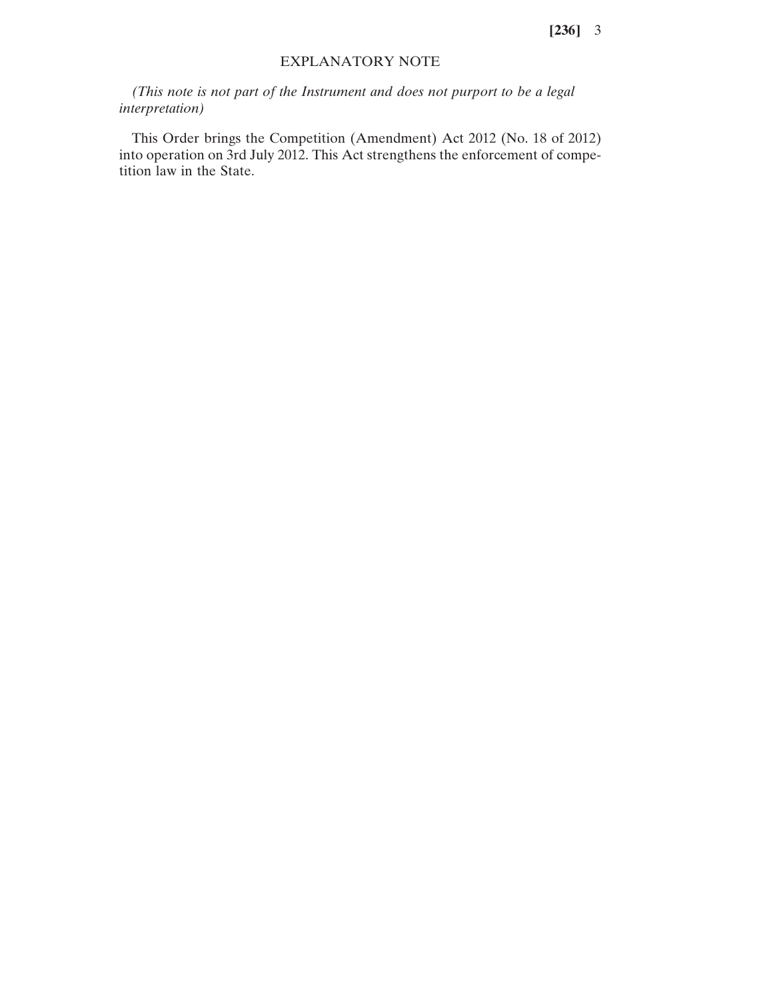**[236]** 3

## EXPLANATORY NOTE

*(This note is not part of the Instrument and does not purport to be a legal interpretation)*

This Order brings the Competition (Amendment) Act 2012 (No. 18 of 2012) into operation on 3rd July 2012. This Act strengthens the enforcement of competition law in the State.